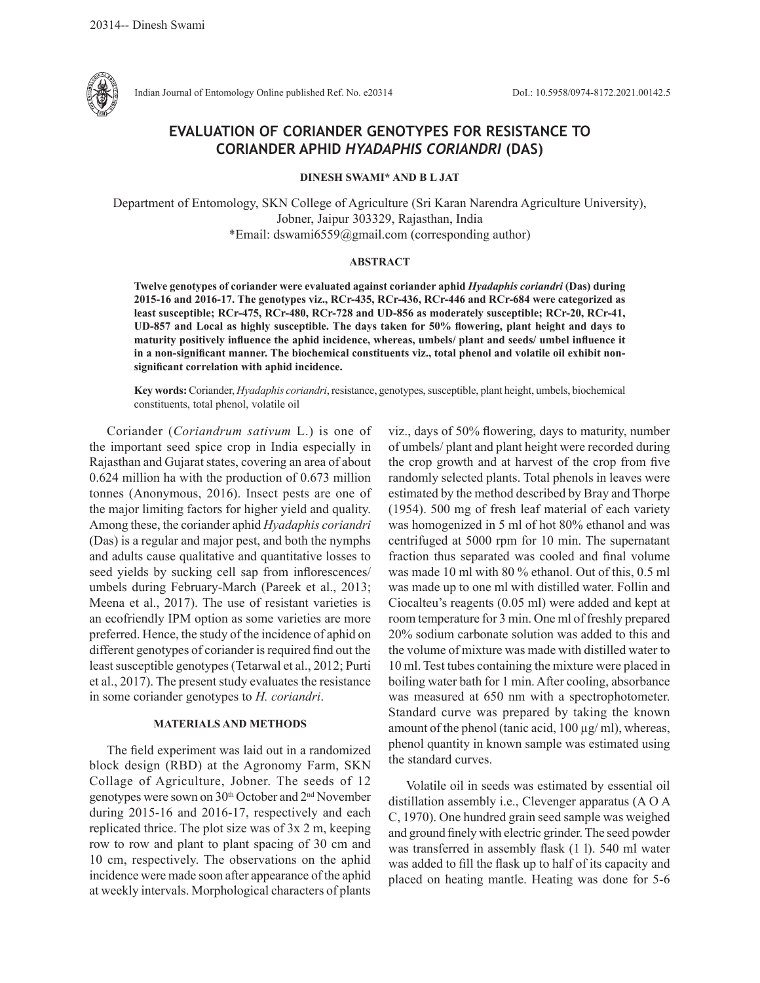

Indian Journal of Entomology Online published Ref. No. e20314 DoI.: 10.5958/0974-8172.2021.00142.5

# **EVALUATION OF CORIANDER GENOTYPES FOR RESISTANCE TO CORIANDER APHID** *HYADAPHIS CORIANDRI* **(DAS)**

**DINESH SWAMI\* AND B L JAT**

Department of Entomology, SKN College of Agriculture (Sri Karan Narendra Agriculture University), Jobner, Jaipur 303329, Rajasthan, India \*Email: dswami6559@gmail.com (corresponding author)

### **ABSTRACT**

**Twelve genotypes of coriander were evaluated against coriander aphid** *Hyadaphis coriandri* **(Das) during 2015-16 and 2016-17. The genotypes viz., RCr-435, RCr-436, RCr-446 and RCr-684 were categorized as least susceptible; RCr-475, RCr-480, RCr-728 and UD-856 as moderately susceptible; RCr-20, RCr-41, UD-857 and Local as highly susceptible. The days taken for 50% flowering, plant height and days to maturity positively influence the aphid incidence, whereas, umbels/ plant and seeds/ umbel influence it in a non-significant manner. The biochemical constituents viz., total phenol and volatile oil exhibit nonsignificant correlation with aphid incidence.**

**Key words:** Coriander, *Hyadaphis coriandri*, resistance, genotypes, susceptible, plant height, umbels, biochemical constituents, total phenol, volatile oil

Coriander (*Coriandrum sativum* L.) is one of the important seed spice crop in India especially in Rajasthan and Gujarat states, covering an area of about 0.624 million ha with the production of 0.673 million tonnes (Anonymous, 2016). Insect pests are one of the major limiting factors for higher yield and quality. Among these, the coriander aphid *Hyadaphis coriandri*  (Das) is a regular and major pest, and both the nymphs and adults cause qualitative and quantitative losses to seed yields by sucking cell sap from inflorescences/ umbels during February-March (Pareek et al., 2013; Meena et al., 2017). The use of resistant varieties is an ecofriendly IPM option as some varieties are more preferred. Hence, the study of the incidence of aphid on different genotypes of coriander is required find out the least susceptible genotypes (Tetarwal et al., 2012; Purti et al., 2017). The present study evaluates the resistance in some coriander genotypes to *H. coriandri*.

## **MATERIALS AND METHODS**

The field experiment was laid out in a randomized block design (RBD) at the Agronomy Farm, SKN Collage of Agriculture, Jobner. The seeds of 12 genotypes were sown on 30<sup>th</sup> October and 2<sup>nd</sup> November during 2015-16 and 2016-17, respectively and each replicated thrice. The plot size was of 3x 2 m, keeping row to row and plant to plant spacing of 30 cm and 10 cm, respectively. The observations on the aphid incidence were made soon after appearance of the aphid at weekly intervals. Morphological characters of plants

viz., days of 50% flowering, days to maturity, number of umbels/ plant and plant height were recorded during the crop growth and at harvest of the crop from five randomly selected plants. Total phenols in leaves were estimated by the method described by Bray and Thorpe (1954). 500 mg of fresh leaf material of each variety was homogenized in 5 ml of hot 80% ethanol and was centrifuged at 5000 rpm for 10 min. The supernatant fraction thus separated was cooled and final volume was made 10 ml with 80 % ethanol. Out of this, 0.5 ml was made up to one ml with distilled water. Follin and Ciocalteu's reagents (0.05 ml) were added and kept at room temperature for 3 min. One ml of freshly prepared 20% sodium carbonate solution was added to this and the volume of mixture was made with distilled water to 10 ml. Test tubes containing the mixture were placed in boiling water bath for 1 min. After cooling, absorbance was measured at 650 nm with a spectrophotometer. Standard curve was prepared by taking the known amount of the phenol (tanic acid,  $100 \mu g/ml$ ), whereas, phenol quantity in known sample was estimated using the standard curves.

Volatile oil in seeds was estimated by essential oil distillation assembly i.e., Clevenger apparatus (A O A C, 1970). One hundred grain seed sample was weighed and ground finely with electric grinder. The seed powder was transferred in assembly flask (1 l). 540 ml water was added to fill the flask up to half of its capacity and placed on heating mantle. Heating was done for 5-6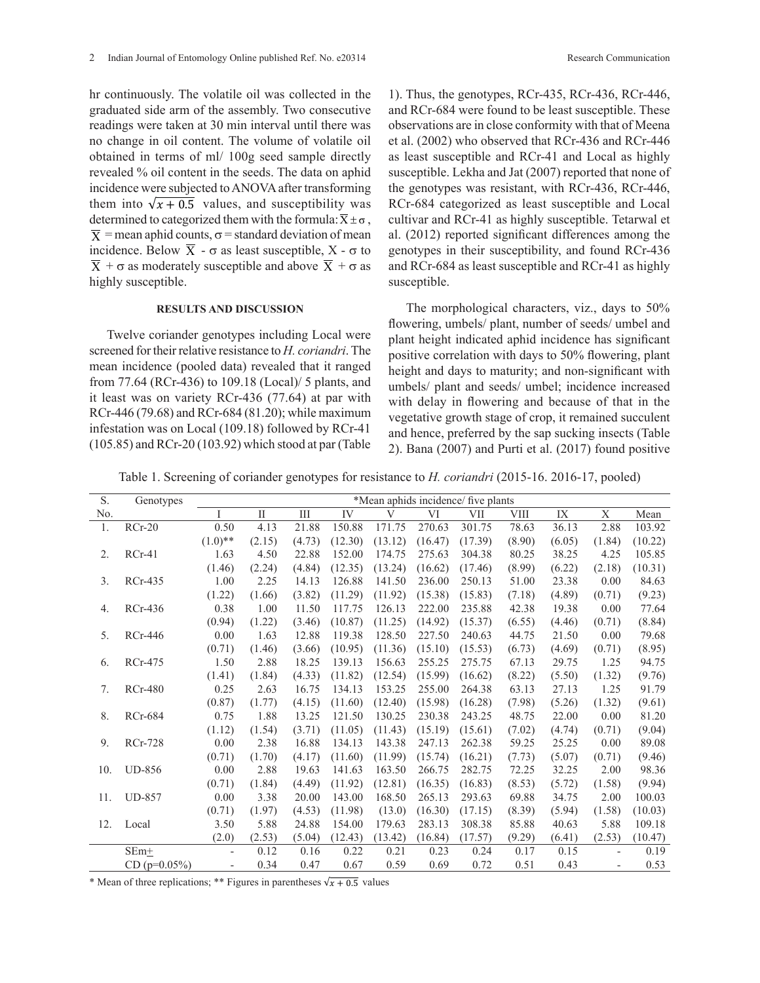hr continuously. The volatile oil was collected in the graduated side arm of the assembly. Two consecutive readings were taken at 30 min interval until there was no change in oil content. The volume of volatile oil obtained in terms of ml/ 100g seed sample directly revealed % oil content in the seeds. The data on aphid incidence were subjected to ANOVA after transforming them into  $\sqrt{x + 0.5}$  values, and susceptibility was determined to categorized them with the formula:  $\overline{x} \pm \sigma$ ,  $\overline{X}$  = mean aphid counts,  $\sigma$  = standard deviation of mean incidence. Below  $\overline{X}$  -  $\sigma$  as least susceptible, X -  $\sigma$  to  $\overline{X}$  +  $\sigma$  as moderately susceptible and above  $\overline{X}$  +  $\sigma$  as highly susceptible.

#### **RESULTS AND DISCUSSION**

Twelve coriander genotypes including Local were screened for their relative resistance to *H. coriandri*. The mean incidence (pooled data) revealed that it ranged from 77.64 (RCr-436) to 109.18 (Local)/ 5 plants, and it least was on variety RCr-436 (77.64) at par with RCr-446 (79.68) and RCr-684 (81.20); while maximum infestation was on Local (109.18) followed by RCr-41 (105.85) and RCr-20 (103.92) which stood at par (Table

1). Thus, the genotypes, RCr-435, RCr-436, RCr-446, and RCr-684 were found to be least susceptible. These observations are in close conformity with that of Meena et al. (2002) who observed that RCr-436 and RCr-446 as least susceptible and RCr-41 and Local as highly susceptible. Lekha and Jat (2007) reported that none of the genotypes was resistant, with RCr-436, RCr-446, RCr-684 categorized as least susceptible and Local cultivar and RCr-41 as highly susceptible. Tetarwal et al. (2012) reported significant differences among the genotypes in their susceptibility, and found RCr-436 and RCr-684 as least susceptible and RCr-41 as highly susceptible.

The morphological characters, viz., days to 50% flowering, umbels/ plant, number of seeds/ umbel and plant height indicated aphid incidence has significant positive correlation with days to 50% flowering, plant height and days to maturity; and non-significant with umbels/ plant and seeds/ umbel; incidence increased with delay in flowering and because of that in the vegetative growth stage of crop, it remained succulent and hence, preferred by the sap sucking insects (Table 2). Bana (2007) and Purti et al. (2017) found positive

Table 1. Screening of coriander genotypes for resistance to *H. coriandri* (2015-16. 2016-17, pooled)

| S.  | Genotypes      | *Mean aphids incidence/ five plants |        |        |         |         |         |         |        |        |        |         |
|-----|----------------|-------------------------------------|--------|--------|---------|---------|---------|---------|--------|--------|--------|---------|
| No. |                |                                     | П      | Ш      | IV      | V       | VI      | VII     | VIII   | IX     | X      | Mean    |
| 1.  | $RCr-20$       | 0.50                                | 4.13   | 21.88  | 150.88  | 171.75  | 270.63  | 301.75  | 78.63  | 36.13  | 2.88   | 103.92  |
|     |                | $(1.0)$ **                          | (2.15) | (4.73) | (12.30) | (13.12) | (16.47) | (17.39) | (8.90) | (6.05) | (1.84) | (10.22) |
| 2.  | $RCr-41$       | 1.63                                | 4.50   | 22.88  | 152.00  | 174.75  | 275.63  | 304.38  | 80.25  | 38.25  | 4.25   | 105.85  |
|     |                | (1.46)                              | (2.24) | (4.84) | (12.35) | (13.24) | (16.62) | (17.46) | (8.99) | (6.22) | (2.18) | (10.31) |
| 3.  | <b>RCr-435</b> | 1.00                                | 2.25   | 14.13  | 126.88  | 141.50  | 236.00  | 250.13  | 51.00  | 23.38  | 0.00   | 84.63   |
|     |                | (1.22)                              | (1.66) | (3.82) | (11.29) | (11.92) | (15.38) | (15.83) | (7.18) | (4.89) | (0.71) | (9.23)  |
| 4.  | <b>RCr-436</b> | 0.38                                | 1.00   | 11.50  | 117.75  | 126.13  | 222.00  | 235.88  | 42.38  | 19.38  | 0.00   | 77.64   |
|     |                | (0.94)                              | (1.22) | (3.46) | (10.87) | (11.25) | (14.92) | (15.37) | (6.55) | (4.46) | (0.71) | (8.84)  |
| 5.  | RCr-446        | 0.00                                | 1.63   | 12.88  | 119.38  | 128.50  | 227.50  | 240.63  | 44.75  | 21.50  | 0.00   | 79.68   |
|     |                | (0.71)                              | (1.46) | (3.66) | (10.95) | (11.36) | (15.10) | (15.53) | (6.73) | (4.69) | (0.71) | (8.95)  |
| 6.  | <b>RCr-475</b> | 1.50                                | 2.88   | 18.25  | 139.13  | 156.63  | 255.25  | 275.75  | 67.13  | 29.75  | 1.25   | 94.75   |
|     |                | (1.41)                              | (1.84) | (4.33) | (11.82) | (12.54) | (15.99) | (16.62) | (8.22) | (5.50) | (1.32) | (9.76)  |
| 7.  | <b>RCr-480</b> | 0.25                                | 2.63   | 16.75  | 134.13  | 153.25  | 255.00  | 264.38  | 63.13  | 27.13  | 1.25   | 91.79   |
|     |                | (0.87)                              | (1.77) | (4.15) | (11.60) | (12.40) | (15.98) | (16.28) | (7.98) | (5.26) | (1.32) | (9.61)  |
| 8.  | <b>RCr-684</b> | 0.75                                | 1.88   | 13.25  | 121.50  | 130.25  | 230.38  | 243.25  | 48.75  | 22.00  | 0.00   | 81.20   |
|     |                | (1.12)                              | (1.54) | (3.71) | (11.05) | (11.43) | (15.19) | (15.61) | (7.02) | (4.74) | (0.71) | (9.04)  |
| 9.  | <b>RCr-728</b> | 0.00                                | 2.38   | 16.88  | 134.13  | 143.38  | 247.13  | 262.38  | 59.25  | 25.25  | 0.00   | 89.08   |
|     |                | (0.71)                              | (1.70) | (4.17) | (11.60) | (11.99) | (15.74) | (16.21) | (7.73) | (5.07) | (0.71) | (9.46)  |
| 10. | <b>UD-856</b>  | 0.00                                | 2.88   | 19.63  | 141.63  | 163.50  | 266.75  | 282.75  | 72.25  | 32.25  | 2.00   | 98.36   |
|     |                | (0.71)                              | (1.84) | (4.49) | (11.92) | (12.81) | (16.35) | (16.83) | (8.53) | (5.72) | (1.58) | (9.94)  |
| 11. | <b>UD-857</b>  | 0.00                                | 3.38   | 20.00  | 143.00  | 168.50  | 265.13  | 293.63  | 69.88  | 34.75  | 2.00   | 100.03  |
|     |                | (0.71)                              | (1.97) | (4.53) | (11.98) | (13.0)  | (16.30) | (17.15) | (8.39) | (5.94) | (1.58) | (10.03) |
| 12. | Local          | 3.50                                | 5.88   | 24.88  | 154.00  | 179.63  | 283.13  | 308.38  | 85.88  | 40.63  | 5.88   | 109.18  |
|     |                | (2.0)                               | (2.53) | (5.04) | (12.43) | (13.42) | (16.84) | (17.57) | (9.29) | (6.41) | (2.53) | (10.47) |
|     | $SEm+$         | $\overline{\phantom{a}}$            | 0.12   | 0.16   | 0.22    | 0.21    | 0.23    | 0.24    | 0.17   | 0.15   |        | 0.19    |
|     | $CD$ (p=0.05%) | $\overline{\phantom{a}}$            | 0.34   | 0.47   | 0.67    | 0.59    | 0.69    | 0.72    | 0.51   | 0.43   |        | 0.53    |

\* Mean of three replications; \*\* Figures in parentheses  $\sqrt{x + 0.5}$  values